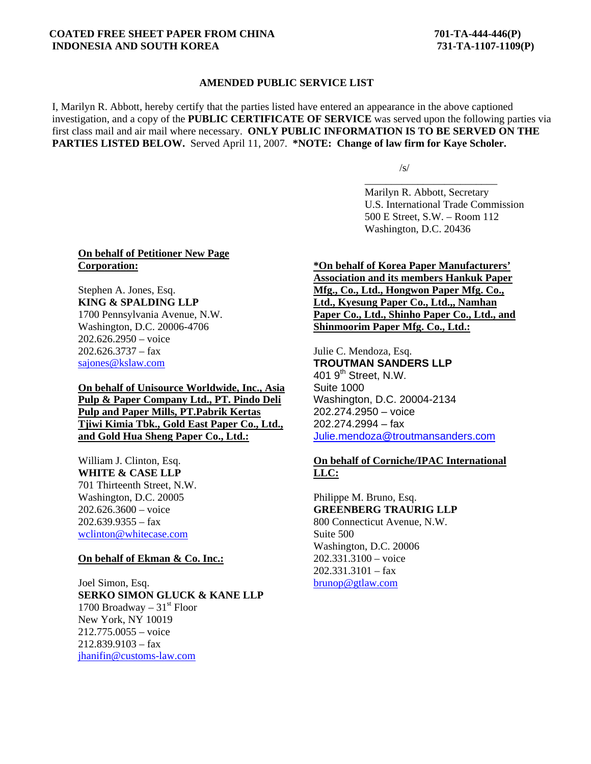### **COATED FREE SHEET PAPER FROM CHINA 701-TA-444-446(P) INDONESIA AND SOUTH KOREA 731-TA-1107-1109(P)**

## **AMENDED PUBLIC SERVICE LIST**

I, Marilyn R. Abbott, hereby certify that the parties listed have entered an appearance in the above captioned investigation, and a copy of the **PUBLIC CERTIFICATE OF SERVICE** was served upon the following parties via first class mail and air mail where necessary. **ONLY PUBLIC INFORMATION IS TO BE SERVED ON THE PARTIES LISTED BELOW.** Served April 11, 2007. **\*NOTE: Change of law firm for Kaye Scholer.** 

 $\sqrt{s/2}$ 

 $\overline{\phantom{a}}$  , and the contract of the contract of the contract of the contract of the contract of the contract of the contract of the contract of the contract of the contract of the contract of the contract of the contrac Marilyn R. Abbott, Secretary U.S. International Trade Commission 500 E Street, S.W. – Room 112 Washington, D.C. 20436

#### **On behalf of Petitioner New Page Corporation:**

Stephen A. Jones, Esq. **KING & SPALDING LLP** 1700 Pennsylvania Avenue, N.W. Washington, D.C. 20006-4706 202.626.2950 – voice  $202.626.3737 - fax$ sajones@kslaw.com

**On behalf of Unisource Worldwide, Inc., Asia Pulp & Paper Company Ltd., PT. Pindo Deli Pulp and Paper Mills, PT.Pabrik Kertas Tjiwi Kimia Tbk., Gold East Paper Co., Ltd., and Gold Hua Sheng Paper Co., Ltd.:**

William J. Clinton, Esq. **WHITE & CASE LLP** 701 Thirteenth Street, N.W. Washington, D.C. 20005 202.626.3600 – voice  $202.639.9355 - fax$ wclinton@whitecase.com

## **On behalf of Ekman & Co. Inc.:**

Joel Simon, Esq. **SERKO SIMON GLUCK & KANE LLP** 1700 Broadway –  $31<sup>st</sup>$  Floor New York, NY 10019 212.775.0055 – voice 212.839.9103 – fax jhanifin@customs-law.com

**\*On behalf of Korea Paper Manufacturers' Association and its members Hankuk Paper Mfg., Co., Ltd., Hongwon Paper Mfg. Co., Ltd., Kyesung Paper Co., Ltd.,, Namhan Paper Co., Ltd., Shinho Paper Co., Ltd., and Shinmoorim Paper Mfg. Co., Ltd.:**

Julie C. Mendoza, Esq.

**TROUTMAN SANDERS LLP** 401  $9<sup>th</sup>$  Street, N.W. Suite 1000 Washington, D.C. 20004-2134 202.274.2950 – voice 202.274.2994 – fax Julie.mendoza@troutmansanders.com

# **On behalf of Corniche/IPAC International LLC:**

Philippe M. Bruno, Esq. **GREENBERG TRAURIG LLP** 800 Connecticut Avenue, N.W. Suite 500 Washington, D.C. 20006 202.331.3100 – voice  $202.331.3101 - fax$ brunop@gtlaw.com